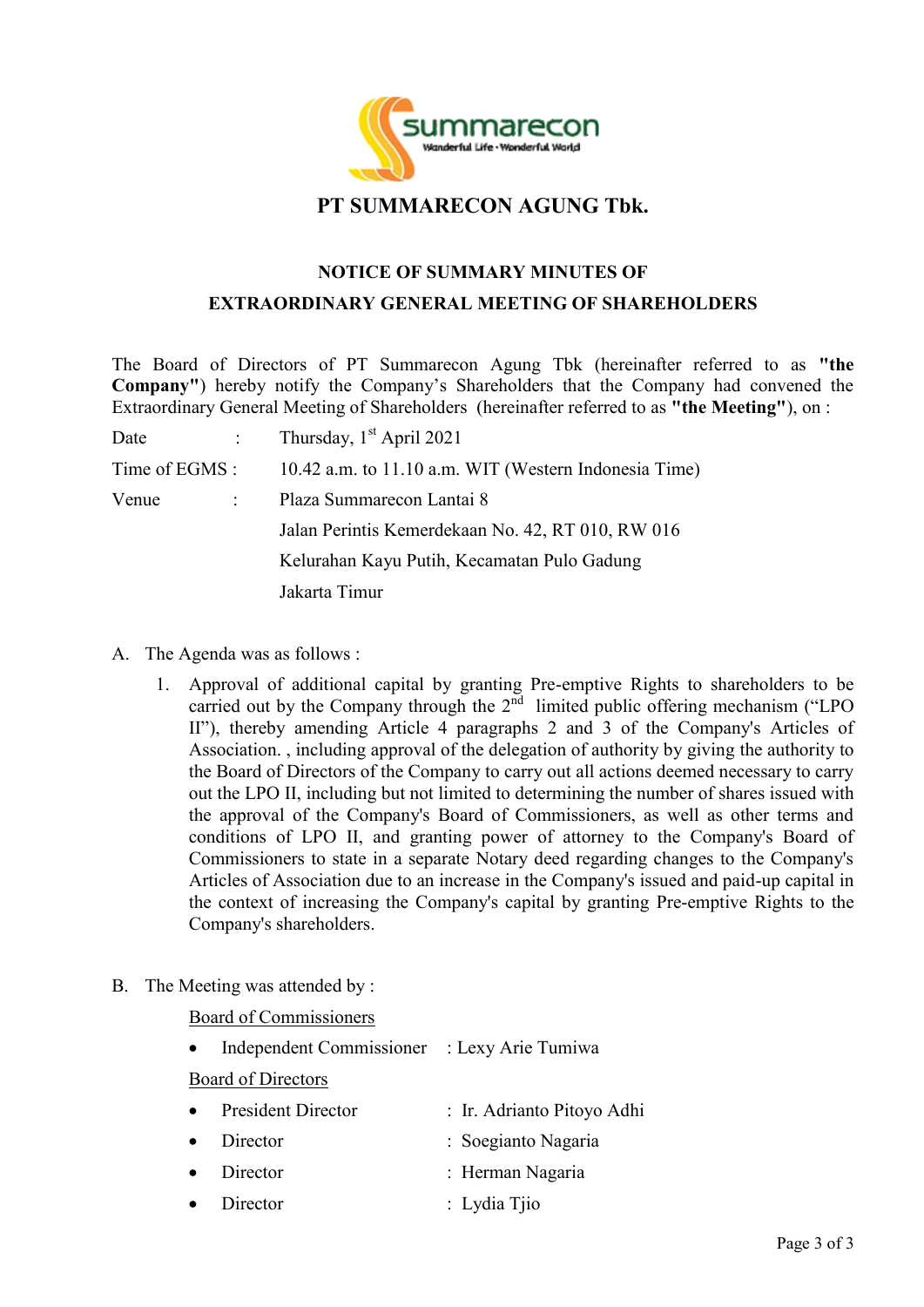

## **PT SUMMARECON AGUNG Tbk.**

## **NOTICE OF SUMMARY MINUTES OF EXTRAORDINARY GENERAL MEETING OF SHAREHOLDERS**

The Board of Directors of PT Summarecon Agung Tbk (hereinafter referred to as **"the Company"**) hereby notify the Company's Shareholders that the Company had convened the Extraordinary General Meeting of Shareholders (hereinafter referred to as **"the Meeting"**), on :

| Date                   |  | : Thursday, $1st$ April 2021                          |
|------------------------|--|-------------------------------------------------------|
| Time of EGMS :         |  | 10.42 a.m. to 11.10 a.m. WIT (Western Indonesia Time) |
| Venue<br>$\mathcal{L}$ |  | Plaza Summarecon Lantai 8                             |
|                        |  | Jalan Perintis Kemerdekaan No. 42, RT 010, RW 016     |
|                        |  | Kelurahan Kayu Putih, Kecamatan Pulo Gadung           |
|                        |  | Jakarta Timur                                         |

- A. The Agenda was as follows :
	- 1. Approval of additional capital by granting Pre-emptive Rights to shareholders to be carried out by the Company through the  $2<sup>nd</sup>$  limited public offering mechanism ("LPO II"), thereby amending Article 4 paragraphs 2 and 3 of the Company's Articles of Association. , including approval of the delegation of authority by giving the authority to the Board of Directors of the Company to carry out all actions deemed necessary to carry out the LPO II, including but not limited to determining the number of shares issued with the approval of the Company's Board of Commissioners, as well as other terms and conditions of LPO II, and granting power of attorney to the Company's Board of Commissioners to state in a separate Notary deed regarding changes to the Company's Articles of Association due to an increase in the Company's issued and paid-up capital in the context of increasing the Company's capital by granting Pre-emptive Rights to the Company's shareholders.
- B. The Meeting was attended by :

Board of Commissioners

Independent Commissioner : Lexy Arie Tumiwa

Board of Directors

| • President Director | : Ir. Adrianto Pitoyo Adhi |
|----------------------|----------------------------|
| $\bullet$ Director   | : Soegianto Nagaria        |
| $\bullet$ Director   | : Herman Nagaria           |
| $\bullet$ Director   | $\therefore$ Lydia Tjio    |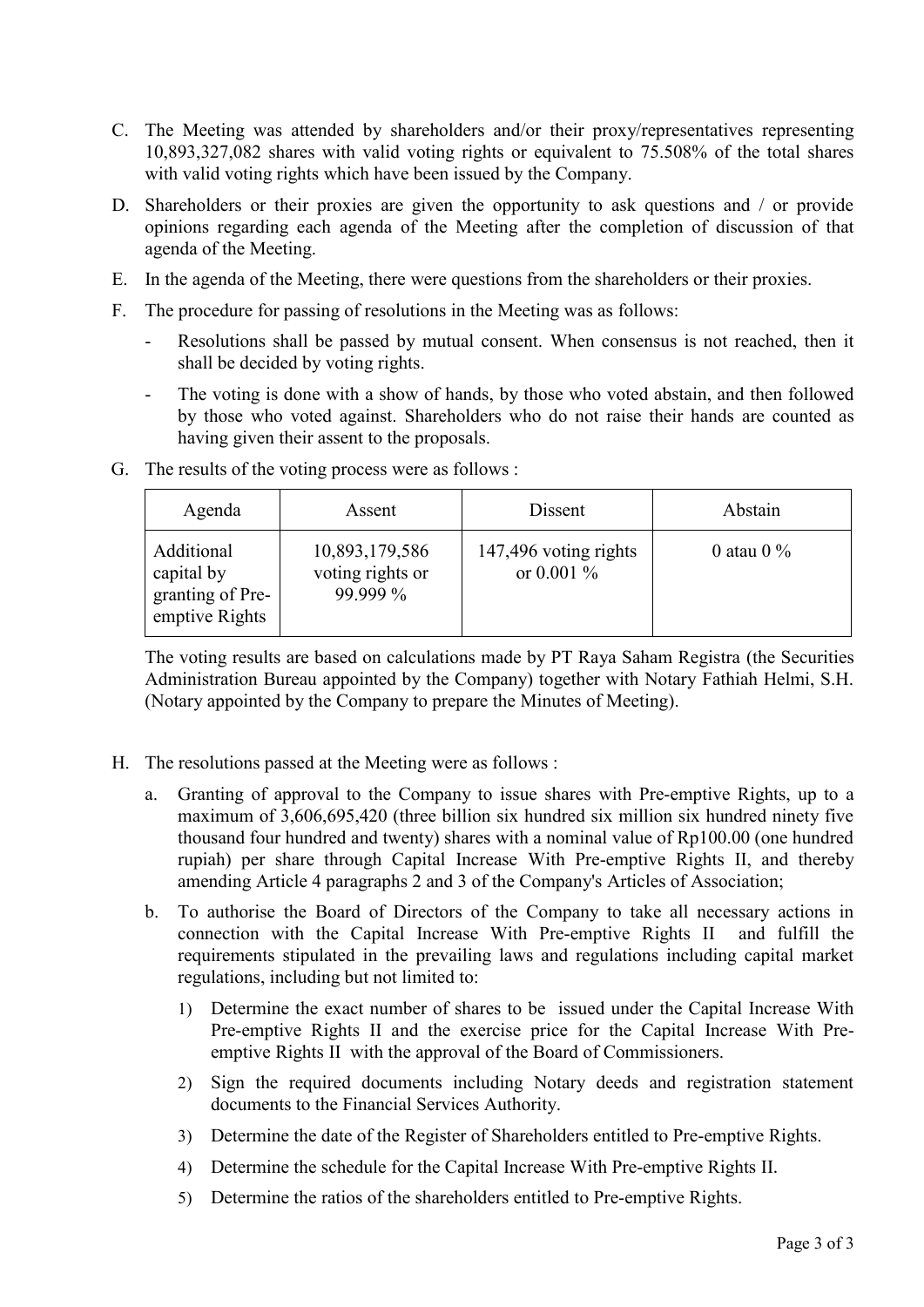- C. The Meeting was attended by shareholders and/or their proxy/representatives representing 10,893,327,082 shares with valid voting rights or equivalent to 75.508% of the total shares with valid voting rights which have been issued by the Company.
- D. Shareholders or their proxies are given the opportunity to ask questions and / or provide opinions regarding each agenda of the Meeting after the completion of discussion of that agenda of the Meeting.
- E. In the agenda of the Meeting, there were questions from the shareholders or their proxies.
- F. The procedure for passing of resolutions in the Meeting was as follows:
	- Resolutions shall be passed by mutual consent. When consensus is not reached, then it shall be decided by voting rights.
	- The voting is done with a show of hands, by those who voted abstain, and then followed by those who voted against. Shareholders who do not raise their hands are counted as having given their assent to the proposals.

| Agenda                                                         | Assent                                         | Dissent                               | Abstain       |
|----------------------------------------------------------------|------------------------------------------------|---------------------------------------|---------------|
| Additional<br>capital by<br>granting of Pre-<br>emptive Rights | 10,893,179,586<br>voting rights or<br>99.999 % | 147,496 voting rights<br>or 0.001 $%$ | 0 atau 0 $\%$ |

G. The results of the voting process were as follows :

The voting results are based on calculations made by PT Raya Saham Registra (the Securities Administration Bureau appointed by the Company) together with Notary Fathiah Helmi, S.H. (Notary appointed by the Company to prepare the Minutes of Meeting).

- H. The resolutions passed at the Meeting were as follows :
	- a. Granting of approval to the Company to issue shares with Pre-emptive Rights, up to a maximum of 3,606,695,420 (three billion six hundred six million six hundred ninety five thousand four hundred and twenty) shares with a nominal value of Rp100.00 (one hundred rupiah) per share through Capital Increase With Pre-emptive Rights II, and thereby amending Article 4 paragraphs 2 and 3 of the Company's Articles of Association;
	- b. To authorise the Board of Directors of the Company to take all necessary actions in connection with the Capital Increase With Pre-emptive Rights II and fulfill the requirements stipulated in the prevailing laws and regulations including capital market regulations, including but not limited to:
		- 1) Determine the exact number of shares to be issued under the Capital Increase With Pre-emptive Rights II and the exercise price for the Capital Increase With Preemptive Rights II with the approval of the Board of Commissioners.
		- 2) Sign the required documents including Notary deeds and registration statement documents to the Financial Services Authority.
		- 3) Determine the date of the Register of Shareholders entitled to Pre-emptive Rights.
		- 4) Determine the schedule for the Capital Increase With Pre-emptive Rights II.
		- 5) Determine the ratios of the shareholders entitled to Pre-emptive Rights.